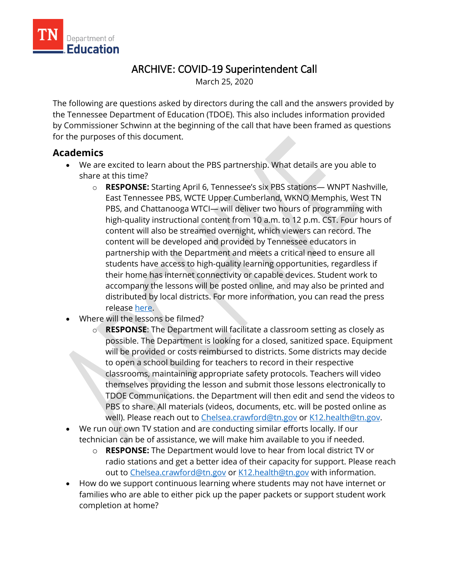

# ARCHIVE: COVID-19 Superintendent Call

March 25, 2020

The following are questions asked by directors during the call and the answers provided by the Tennessee Department of Education (TDOE). This also includes information provided by Commissioner Schwinn at the beginning of the call that have been framed as questions for the purposes of this document.

# **Academics**

- We are excited to learn about the PBS partnership. What details are you able to share at this time?
	- o **RESPONSE:** Starting April 6, Tennessee's six PBS stations— WNPT Nashville, East Tennessee PBS, WCTE Upper Cumberland, WKNO Memphis, West TN PBS, and Chattanooga WTCI— will deliver two hours of programming with high-quality instructional content from 10 a.m. to 12 p.m. CST. Four hours of content will also be streamed overnight, which viewers can record. The content will be developed and provided by Tennessee educators in partnership with the Department and meets a critical need to ensure all students have access to high-quality learning opportunities, regardless if their home has internet connectivity or capable devices. Student work to accompany the lessons will be posted online, and may also be printed and distributed by local districts. For more information, you can read the press release [here.](https://www.tn.gov/education/news/2020/3/25/tdoe-announces-partnership-with-pbs-to-deliver-daily-instructional-content-for-tennessee-students.html)
- Where will the lessons be filmed?
	- o **RESPONSE**: The Department will facilitate a classroom setting as closely as possible. The Department is looking for a closed, sanitized space. Equipment will be provided or costs reimbursed to districts. Some districts may decide to open a school building for teachers to record in their respective classrooms, maintaining appropriate safety protocols. Teachers will video themselves providing the lesson and submit those lessons electronically to TDOE Communications. the Department will then edit and send the videos to PBS to share. All materials (videos, documents, etc. will be posted online as well). Please reach out to [Chelsea.crawford@tn.gov](mailto:Chelsea.crawford@tn.gov) or [K12.health@tn.gov.](mailto:K12.health@tn.gov)
- We run our own TV station and are conducting similar efforts locally. If our technician can be of assistance, we will make him available to you if needed.
	- o **RESPONSE:** The Department would love to hear from local district TV or radio stations and get a better idea of their capacity for support. Please reach out to [Chelsea.crawford@tn.gov](mailto:Chelsea.crawford@tn.gov) or [K12.health@tn.gov](mailto:K12.health@tn.gov) with information.
- How do we support continuous learning where students may not have internet or families who are able to either pick up the paper packets or support student work completion at home?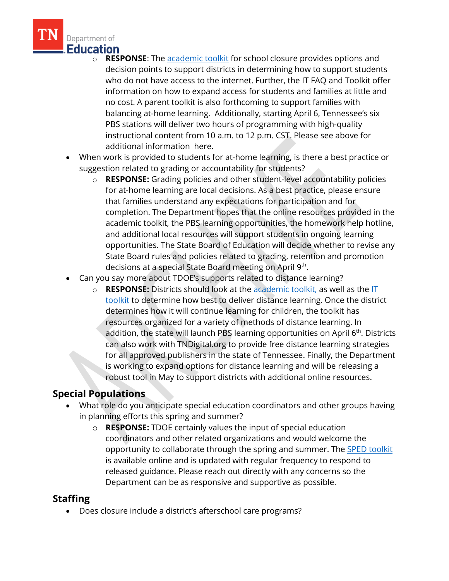

- o **RESPONSE**: The [academic toolkit](https://www.tn.gov/content/dam/tn/education/health-&-safety/School%20Closure%20Toolkit%20-%20Academics.pdf) for school closure provides options and decision points to support districts in determining how to support students who do not have access to the internet. Further, the IT FAQ and Toolkit offer information on how to expand access for students and families at little and no cost. A parent toolkit is also forthcoming to support families with balancing at-home learning. Additionally, starting April 6, Tennessee's six PBS stations will deliver two hours of programming with high-quality instructional content from 10 a.m. to 12 p.m. CST. Please see above for additional information here.
- When work is provided to students for at-home learning, is there a best practice or suggestion related to grading or accountability for students?
	- o **RESPONSE:** Grading policies and other student-level accountability policies for at-home learning are local decisions. As a best practice, please ensure that families understand any expectations for participation and for completion. The Department hopes that the online resources provided in the academic toolkit, the PBS learning opportunities, the homework help hotline, and additional local resources will support students in ongoing learning opportunities. The State Board of Education will decide whether to revise any State Board rules and policies related to grading, retention and promotion decisions at a special State Board meeting on April 9<sup>th</sup>.
- Can you say more about TDOE's supports related to distance learning?
	- o **RESPONSE:** Districts should look at the [academic toolkit,](https://www.tn.gov/content/dam/tn/education/health-&-safety/School%20Closure%20Toolkit%20-%20Academics.pdf) as well as the [IT](https://www.tn.gov/content/dam/tn/education/health-&-safety/School_Closure_Toolkit_IT_and_Distance_Learning_(Published).pdf)  [toolkit](https://www.tn.gov/content/dam/tn/education/health-&-safety/School_Closure_Toolkit_IT_and_Distance_Learning_(Published).pdf) to determine how best to deliver distance learning. Once the district determines how it will continue learning for children, the toolkit has resources organized for a variety of methods of distance learning. In addition, the state will launch PBS learning opportunities on April  $6<sup>th</sup>$ . Districts can also work with TNDigital.org to provide free distance learning strategies for all approved publishers in the state of Tennessee. Finally, the Department is working to expand options for distance learning and will be releasing a robust tool in May to support districts with additional online resources.

#### **Special Populations**

- What role do you anticipate special education coordinators and other groups having in planning efforts this spring and summer?
	- o **RESPONSE:** TDOE certainly values the input of special education coordinators and other related organizations and would welcome the opportunity to collaborate through the spring and summer. The [SPED toolkit](https://www.tn.gov/content/dam/tn/education/health-&-safety/School_Closure_Toolkit_Special%20Populations.pdf) is available online and is updated with regular frequency to respond to released guidance. Please reach out directly with any concerns so the Department can be as responsive and supportive as possible.

# **Staffing**

• Does closure include a district's afterschool care programs?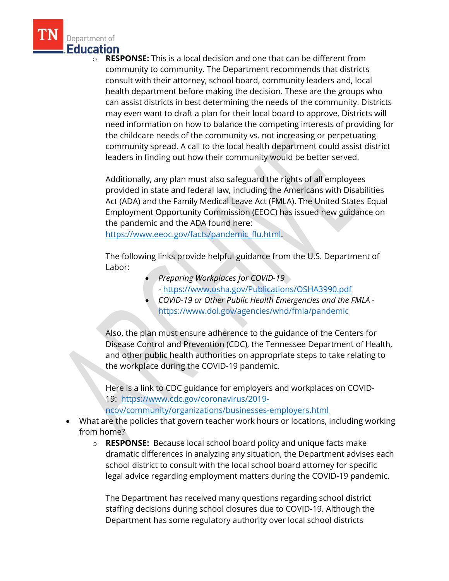

**RESPONSE:** This is a local decision and one that can be different from community to community. The Department recommends that districts consult with their attorney, school board, community leaders and, local health department before making the decision. These are the groups who can assist districts in best determining the needs of the community. Districts may even want to draft a plan for their local board to approve. Districts will need information on how to balance the competing interests of providing for the childcare needs of the community vs. not increasing or perpetuating community spread. A call to the local health department could assist district leaders in finding out how their community would be better served.

Additionally, any plan must also safeguard the rights of all employees provided in state and federal law, including the Americans with Disabilities Act (ADA) and the Family Medical Leave Act (FMLA). The United States Equal Employment Opportunity Commission (EEOC) has issued new guidance on the pandemic and the ADA found here:

[https://www.eeoc.gov/facts/pandemic\\_flu.html.](https://www.eeoc.gov/facts/pandemic_flu.html)

The following links provide helpful guidance from the U.S. Department of Labor:

- *Preparing Workplaces for COVID-19*
- <https://www.osha.gov/Publications/OSHA3990.pdf>
- *COVID-19 or Other Public Health Emergencies and the FMLA* <https://www.dol.gov/agencies/whd/fmla/pandemic>

Also, the plan must ensure adherence to the guidance of the Centers for Disease Control and Prevention (CDC), the Tennessee Department of Health, and other public health authorities on appropriate steps to take relating to the workplace during the COVID-19 pandemic.

Here is a link to CDC guidance for employers and workplaces on COVID-19: [https://www.cdc.gov/coronavirus/2019-](https://www.cdc.gov/coronavirus/2019-ncov/community/organizations/businesses-employers.html)

[ncov/community/organizations/businesses-employers.html](https://www.cdc.gov/coronavirus/2019-ncov/community/organizations/businesses-employers.html)

- What are the policies that govern teacher work hours or locations, including working from home?
	- o **RESPONSE:** Because local school board policy and unique facts make dramatic differences in analyzing any situation, the Department advises each school district to consult with the local school board attorney for specific legal advice regarding employment matters during the COVID-19 pandemic.

The Department has received many questions regarding school district staffing decisions during school closures due to COVID-19. Although the Department has some regulatory authority over local school districts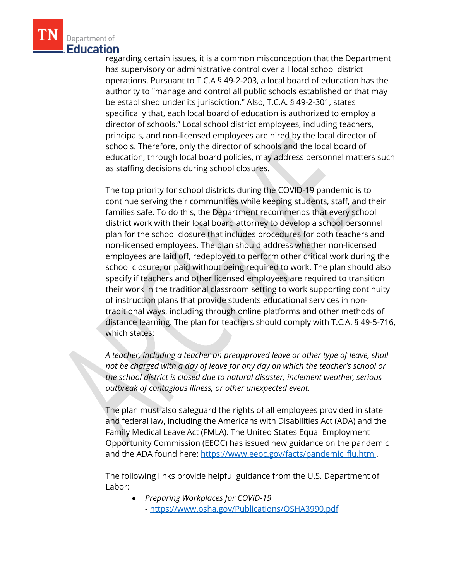

regarding certain issues, it is a common misconception that the Department has supervisory or administrative control over all local school district operations. Pursuant to T.C.A § 49-2-203, a local board of education has the authority to "manage and control all public schools established or that may be established under its jurisdiction." Also, T.C.A. § 49-2-301, states specifically that, each local board of education is authorized to employ a director of schools." Local school district employees, including teachers, principals, and non-licensed employees are hired by the local director of schools. Therefore, only the director of schools and the local board of education, through local board policies, may address personnel matters such as staffing decisions during school closures.

The top priority for school districts during the COVID-19 pandemic is to continue serving their communities while keeping students, staff, and their families safe. To do this, the Department recommends that every school district work with their local board attorney to develop a school personnel plan for the school closure that includes procedures for both teachers and non-licensed employees. The plan should address whether non-licensed employees are laid off, redeployed to perform other critical work during the school closure, or paid without being required to work. The plan should also specify if teachers and other licensed employees are required to transition their work in the traditional classroom setting to work supporting continuity of instruction plans that provide students educational services in nontraditional ways, including through online platforms and other methods of distance learning. The plan for teachers should comply with T.C.A. § 49-5-716, which states:

*A teacher, including a teacher on preapproved leave or other type of leave, shall not be charged with a day of leave for any day on which the teacher's school or the school district is closed due to natural disaster, inclement weather, serious outbreak of contagious illness, or other unexpected event.*

The plan must also safeguard the rights of all employees provided in state and federal law, including the Americans with Disabilities Act (ADA) and the Family Medical Leave Act (FMLA). The United States Equal Employment Opportunity Commission (EEOC) has issued new guidance on the pandemic and the ADA found here: [https://www.eeoc.gov/facts/pandemic\\_flu.html.](https://www.eeoc.gov/facts/pandemic_flu.html)

The following links provide helpful guidance from the U.S. Department of Labor:

• *Preparing Workplaces for COVID-19* - <https://www.osha.gov/Publications/OSHA3990.pdf>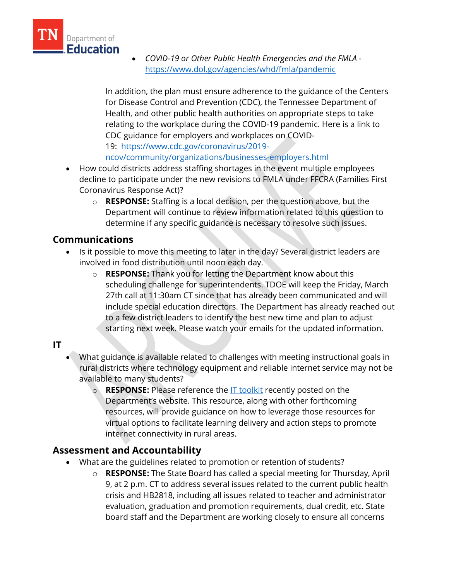

• *COVID-19 or Other Public Health Emergencies and the FMLA* <https://www.dol.gov/agencies/whd/fmla/pandemic>

In addition, the plan must ensure adherence to the guidance of the Centers for Disease Control and Prevention (CDC), the Tennessee Department of Health, and other public health authorities on appropriate steps to take relating to the workplace during the COVID-19 pandemic. Here is a link to CDC guidance for employers and workplaces on COVID-19: [https://www.cdc.gov/coronavirus/2019-](https://www.cdc.gov/coronavirus/2019-ncov/community/organizations/businesses-employers.html)

[ncov/community/organizations/businesses-employers.html](https://www.cdc.gov/coronavirus/2019-ncov/community/organizations/businesses-employers.html)

- How could districts address staffing shortages in the event multiple employees decline to participate under the new revisions to FMLA under FFCRA (Families First Coronavirus Response Act)?
	- o **RESPONSE:** Staffing is a local decision, per the question above, but the Department will continue to review information related to this question to determine if any specific guidance is necessary to resolve such issues.

## **Communications**

- Is it possible to move this meeting to later in the day? Several district leaders are involved in food distribution until noon each day.
	- o **RESPONSE:** Thank you for letting the Department know about this scheduling challenge for superintendents. TDOE will keep the Friday, March 27th call at 11:30am CT since that has already been communicated and will include special education directors. The Department has already reached out to a few district leaders to identify the best new time and plan to adjust starting next week. Please watch your emails for the updated information.

#### **IT**

- What guidance is available related to challenges with meeting instructional goals in rural districts where technology equipment and reliable internet service may not be available to many students?
	- o **RESPONSE:** Please reference the **IT** toolkit recently posted on the Department's website. This resource, along with other forthcoming resources, will provide guidance on how to leverage those resources for virtual options to facilitate learning delivery and action steps to promote internet connectivity in rural areas.

# **Assessment and Accountability**

- What are the guidelines related to promotion or retention of students?
	- o **RESPONSE:** The State Board has called a special meeting for Thursday, April 9, at 2 p.m. CT to address several issues related to the current public health crisis and HB2818, including all issues related to teacher and administrator evaluation, graduation and promotion requirements, dual credit, etc. State board staff and the Department are working closely to ensure all concerns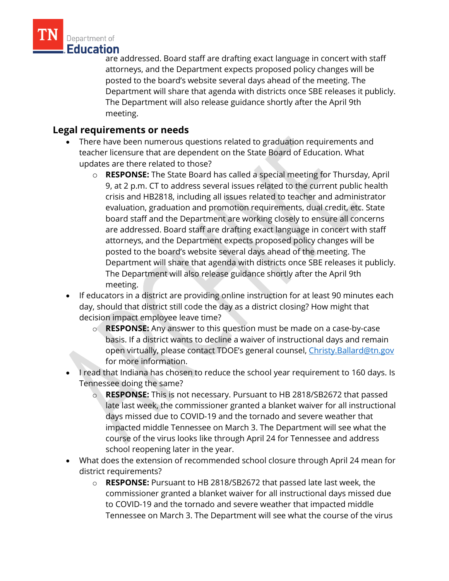

are addressed. Board staff are drafting exact language in concert with staff attorneys, and the Department expects proposed policy changes will be posted to the board's website several days ahead of the meeting. The Department will share that agenda with districts once SBE releases it publicly. The Department will also release guidance shortly after the April 9th meeting.

## **Legal requirements or needs**

- There have been numerous questions related to graduation requirements and teacher licensure that are dependent on the State Board of Education. What updates are there related to those?
	- o **RESPONSE:** The State Board has called a special meeting for Thursday, April 9, at 2 p.m. CT to address several issues related to the current public health crisis and HB2818, including all issues related to teacher and administrator evaluation, graduation and promotion requirements, dual credit, etc. State board staff and the Department are working closely to ensure all concerns are addressed. Board staff are drafting exact language in concert with staff attorneys, and the Department expects proposed policy changes will be posted to the board's website several days ahead of the meeting. The Department will share that agenda with districts once SBE releases it publicly. The Department will also release guidance shortly after the April 9th meeting.
- If educators in a district are providing online instruction for at least 90 minutes each day, should that district still code the day as a district closing? How might that decision impact employee leave time?
	- o **RESPONSE:** Any answer to this question must be made on a case-by-case basis. If a district wants to decline a waiver of instructional days and remain open virtually, please contact TDOE's general counsel, [Christy.Ballard@tn.gov](mailto:Christy.Ballard@tn.gov) for more information.
- I read that Indiana has chosen to reduce the school year requirement to 160 days. Is Tennessee doing the same?
	- o **RESPONSE:** This is not necessary. Pursuant to HB 2818/SB2672 that passed late last week, the commissioner granted a blanket waiver for all instructional days missed due to COVID-19 and the tornado and severe weather that impacted middle Tennessee on March 3. The Department will see what the course of the virus looks like through April 24 for Tennessee and address school reopening later in the year.
- What does the extension of recommended school closure through April 24 mean for district requirements?
	- o **RESPONSE:** Pursuant to HB 2818/SB2672 that passed late last week, the commissioner granted a blanket waiver for all instructional days missed due to COVID-19 and the tornado and severe weather that impacted middle Tennessee on March 3. The Department will see what the course of the virus